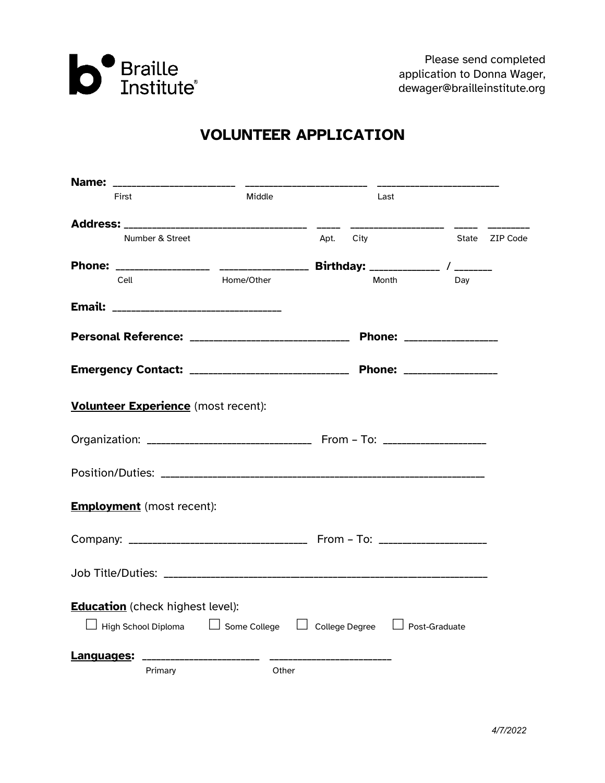

# **VOLUNTEER APPLICATION**

| First                                                                                     | Middle     | Last         |                          |          |
|-------------------------------------------------------------------------------------------|------------|--------------|--------------------------|----------|
|                                                                                           |            |              |                          |          |
| Number & Street                                                                           |            | City<br>Apt. | State                    | ZIP Code |
|                                                                                           |            |              |                          |          |
| Cell                                                                                      | Home/Other | Month        | Dav                      |          |
|                                                                                           |            |              |                          |          |
| Personal Reference: _______________________________                                       |            |              | Phone: _________________ |          |
| Emergency Contact: _________________________________ Phone: ____________________          |            |              |                          |          |
| Volunteer Experience (most recent):                                                       |            |              |                          |          |
|                                                                                           |            |              |                          |          |
|                                                                                           |            |              |                          |          |
| <b>Employment</b> (most recent):                                                          |            |              |                          |          |
|                                                                                           |            |              |                          |          |
|                                                                                           |            |              |                          |          |
| <b>Education</b> (check highest level):                                                   |            |              |                          |          |
| $\Box$ High School Diploma $\Box$ Some College $\Box$ College Degree $\Box$ Post-Graduate |            |              |                          |          |
| Languages:                                                                                |            |              |                          |          |
| Primary                                                                                   | Other      |              |                          |          |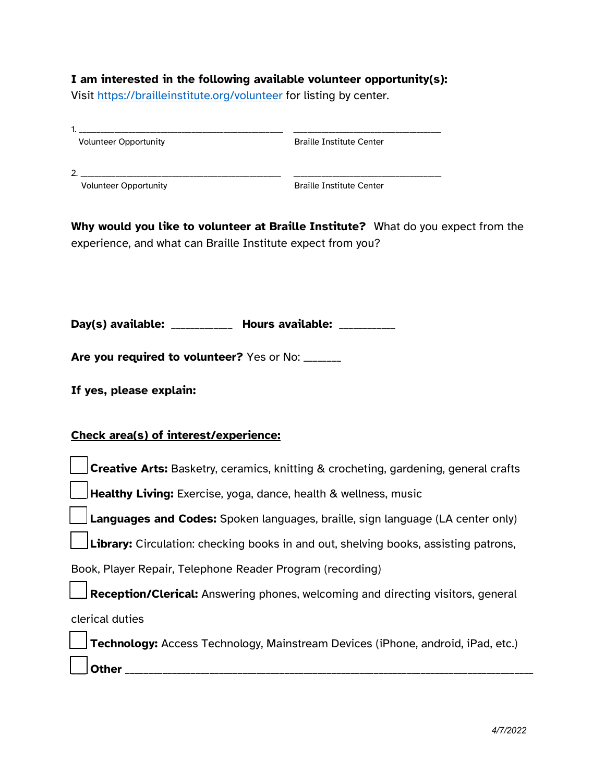### **I am interested in the following available volunteer opportunity(s):**

Visit<https://brailleinstitute.org/volunteer> for listing by center.

| <b>Volunteer Opportunity</b> | <b>Braille Institute Center</b> |  |
|------------------------------|---------------------------------|--|
|                              |                                 |  |
| ົ                            |                                 |  |
| <b>Volunteer Opportunity</b> | <b>Braille Institute Center</b> |  |
|                              |                                 |  |

**Why would you like to volunteer at Braille Institute?** What do you expect from the experience, and what can Braille Institute expect from you?

**Day(s) available:** \_\_\_\_\_\_\_\_\_\_\_\_\_ **Hours available:** \_\_\_\_\_\_\_\_\_\_\_\_

Are you required to volunteer? Yes or No: \_\_\_\_\_\_\_

**If yes, please explain:** 

## **Check area(s) of interest/experience:**

| Creative Arts: Basketry, ceramics, knitting & crocheting, gardening, general crafts        |
|--------------------------------------------------------------------------------------------|
| Healthy Living: Exercise, yoga, dance, health & wellness, music                            |
| Languages and Codes: Spoken languages, braille, sign language (LA center only)             |
| <b>Library:</b> Circulation: checking books in and out, shelving books, assisting patrons, |
| Book, Player Repair, Telephone Reader Program (recording)                                  |
| Reception/Clerical: Answering phones, welcoming and directing visitors, general            |
| clerical duties                                                                            |
| <b>Technology:</b> Access Technology, Mainstream Devices (iPhone, android, iPad, etc.)     |
| Other                                                                                      |